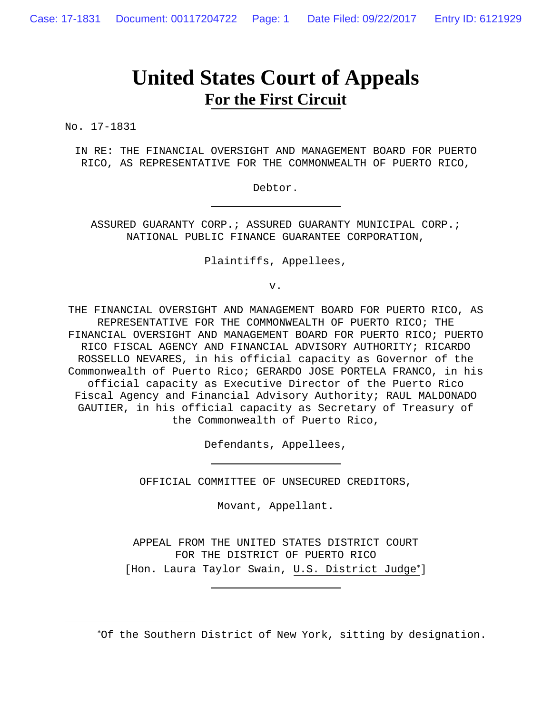# **United States Court of Appeals For the First Circuit**

No. 17-1831

 $\overline{a}$ 

IN RE: THE FINANCIAL OVERSIGHT AND MANAGEMENT BOARD FOR PUERTO RICO, AS REPRESENTATIVE FOR THE COMMONWEALTH OF PUERTO RICO,

Debtor.

ASSURED GUARANTY CORP.; ASSURED GUARANTY MUNICIPAL CORP.; NATIONAL PUBLIC FINANCE GUARANTEE CORPORATION,

Plaintiffs, Appellees,

v.

THE FINANCIAL OVERSIGHT AND MANAGEMENT BOARD FOR PUERTO RICO, AS REPRESENTATIVE FOR THE COMMONWEALTH OF PUERTO RICO; THE FINANCIAL OVERSIGHT AND MANAGEMENT BOARD FOR PUERTO RICO; PUERTO RICO FISCAL AGENCY AND FINANCIAL ADVISORY AUTHORITY; RICARDO ROSSELLO NEVARES, in his official capacity as Governor of the Commonwealth of Puerto Rico; GERARDO JOSE PORTELA FRANCO, in his official capacity as Executive Director of the Puerto Rico Fiscal Agency and Financial Advisory Authority; RAUL MALDONADO GAUTIER, in his official capacity as Secretary of Treasury of the Commonwealth of Puerto Rico,

Defendants, Appellees,

OFFICIAL COMMITTEE OF UNSECURED CREDITORS,

Movant, Appellant.

APPEAL FROM THE UNITED STATES DISTRICT COURT FOR THE DISTRICT OF PUERTO RICO [Hon. Laura Taylor Swain, U.S. District Judge<sup>\*</sup>]

Of the Southern District of New York, sitting by designation.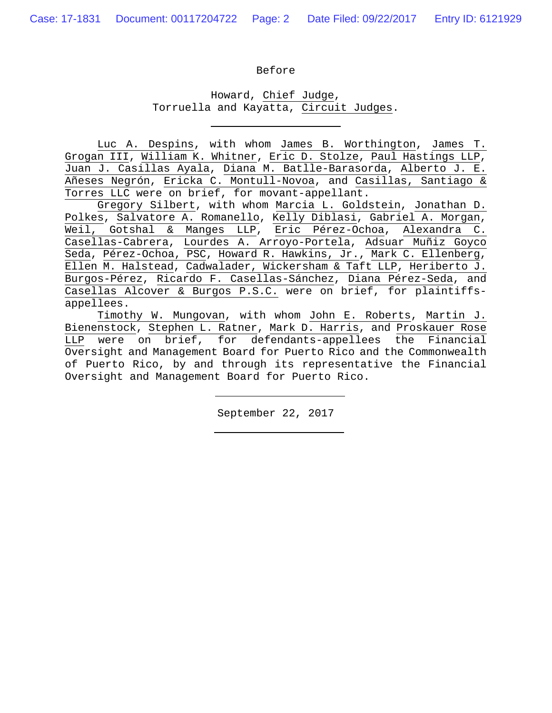#### Before

# Howard, Chief Judge, Torruella and Kayatta, Circuit Judges.

Luc A. Despins, with whom James B. Worthington, James T. Grogan III, William K. Whitner, Eric D. Stolze, Paul Hastings LLP, Juan J. Casillas Ayala, Diana M. Batlle-Barasorda, Alberto J. E. Añeses Negrón, Ericka C. Montull-Novoa, and Casillas, Santiago & Torres LLC were on brief, for movant-appellant.

Gregory Silbert, with whom Marcia L. Goldstein, Jonathan D. Polkes, Salvatore A. Romanello, Kelly Diblasi, Gabriel A. Morgan, Weil, Gotshal & Manges LLP, Eric Pérez-Ochoa, Alexandra C. Casellas-Cabrera, Lourdes A. Arroyo-Portela, Adsuar Muñiz Goyco Seda, Pérez-Ochoa, PSC, Howard R. Hawkins, Jr., Mark C. Ellenberg, Ellen M. Halstead, Cadwalader, Wickersham & Taft LLP, Heriberto J. Burgos-Pérez, Ricardo F. Casellas-Sánchez, Diana Pérez-Seda, and Casellas Alcover & Burgos P.S.C. were on brief, for plaintiffsappellees.

 Timothy W. Mungovan, with whom John E. Roberts, Martin J. Bienenstock, Stephen L. Ratner, Mark D. Harris, and Proskauer Rose LLP were on brief, for defendants-appellees the Financial Oversight and Management Board for Puerto Rico and the Commonwealth of Puerto Rico, by and through its representative the Financial Oversight and Management Board for Puerto Rico.

September 22, 2017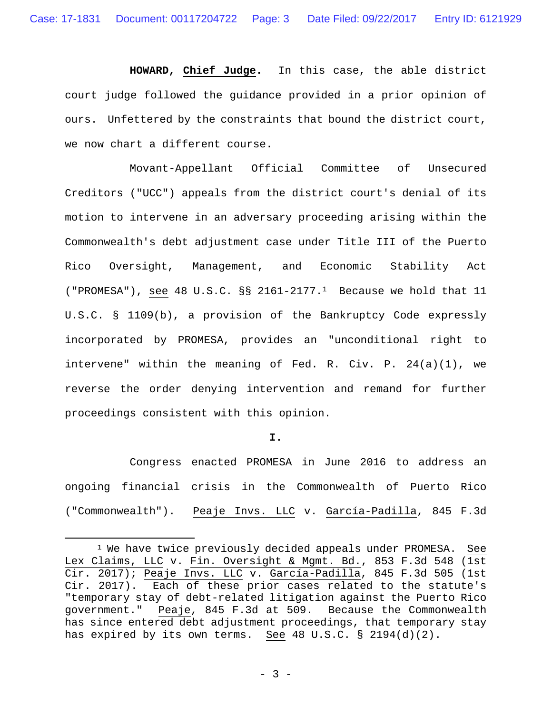**HOWARD, Chief Judge.** In this case, the able district court judge followed the guidance provided in a prior opinion of ours. Unfettered by the constraints that bound the district court, we now chart a different course.

Movant-Appellant Official Committee of Unsecured Creditors ("UCC") appeals from the district court's denial of its motion to intervene in an adversary proceeding arising within the Commonwealth's debt adjustment case under Title III of the Puerto Rico Oversight, Management, and Economic Stability Act ("PROMESA"), see 48 U.S.C. §§ 2161-2177.1 Because we hold that 11 U.S.C. § 1109(b), a provision of the Bankruptcy Code expressly incorporated by PROMESA, provides an "unconditional right to intervene" within the meaning of Fed. R. Civ. P. 24(a)(1), we reverse the order denying intervention and remand for further proceedings consistent with this opinion.

## **I.**

Congress enacted PROMESA in June 2016 to address an ongoing financial crisis in the Commonwealth of Puerto Rico ("Commonwealth"). Peaje Invs. LLC v. García-Padilla, 845 F.3d

<sup>&</sup>lt;sup>1</sup> We have twice previously decided appeals under PROMESA. See Lex Claims, LLC v. Fin. Oversight & Mgmt. Bd., 853 F.3d 548 (1st Cir. 2017); Peaje Invs. LLC v. García-Padilla, 845 F.3d 505 (1st Cir. 2017). Each of these prior cases related to the statute's "temporary stay of debt-related litigation against the Puerto Rico government." Peaje, 845 F.3d at 509. Because the Commonwealth has since entered debt adjustment proceedings, that temporary stay has expired by its own terms. See 48 U.S.C. § 2194(d)(2).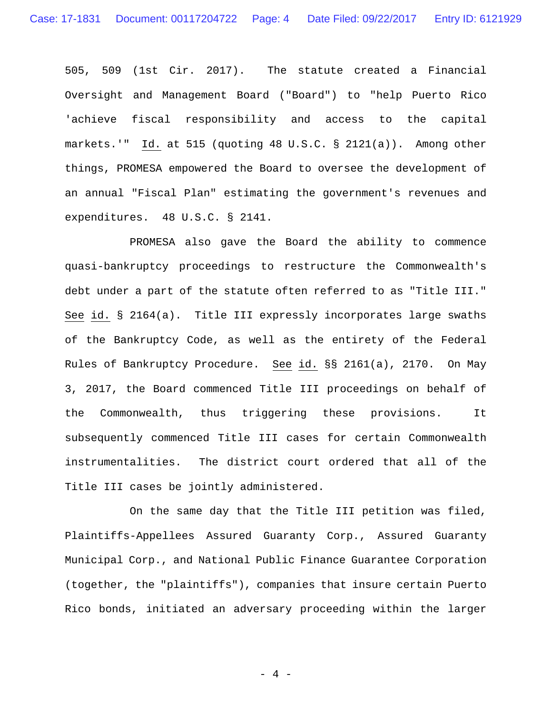505, 509 (1st Cir. 2017). The statute created a Financial Oversight and Management Board ("Board") to "help Puerto Rico 'achieve fiscal responsibility and access to the capital markets.'" Id. at 515 (quoting 48 U.S.C. § 2121(a)). Among other things, PROMESA empowered the Board to oversee the development of an annual "Fiscal Plan" estimating the government's revenues and expenditures. 48 U.S.C. § 2141.

PROMESA also gave the Board the ability to commence quasi-bankruptcy proceedings to restructure the Commonwealth's debt under a part of the statute often referred to as "Title III." See id. § 2164(a). Title III expressly incorporates large swaths of the Bankruptcy Code, as well as the entirety of the Federal Rules of Bankruptcy Procedure. See id. §§ 2161(a), 2170. On May 3, 2017, the Board commenced Title III proceedings on behalf of the Commonwealth, thus triggering these provisions. It subsequently commenced Title III cases for certain Commonwealth instrumentalities. The district court ordered that all of the Title III cases be jointly administered.

On the same day that the Title III petition was filed, Plaintiffs-Appellees Assured Guaranty Corp., Assured Guaranty Municipal Corp., and National Public Finance Guarantee Corporation (together, the "plaintiffs"), companies that insure certain Puerto Rico bonds, initiated an adversary proceeding within the larger

 $-4 -$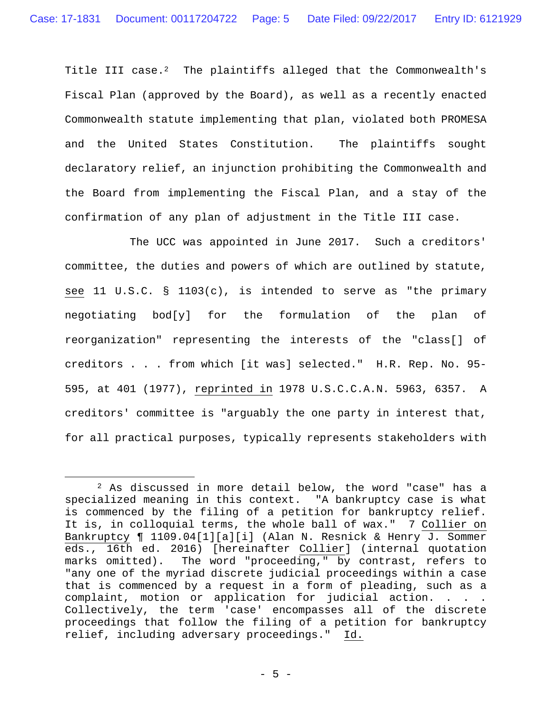Title III case.<sup>2</sup> The plaintiffs alleged that the Commonwealth's Fiscal Plan (approved by the Board), as well as a recently enacted Commonwealth statute implementing that plan, violated both PROMESA and the United States Constitution. The plaintiffs sought declaratory relief, an injunction prohibiting the Commonwealth and the Board from implementing the Fiscal Plan, and a stay of the confirmation of any plan of adjustment in the Title III case.

The UCC was appointed in June 2017. Such a creditors' committee, the duties and powers of which are outlined by statute, see 11 U.S.C. § 1103(c), is intended to serve as "the primary negotiating bod[y] for the formulation of the plan of reorganization" representing the interests of the "class[] of creditors . . . from which [it was] selected." H.R. Rep. No. 95- 595, at 401 (1977), reprinted in 1978 U.S.C.C.A.N. 5963, 6357. A creditors' committee is "arguably the one party in interest that, for all practical purposes, typically represents stakeholders with

<sup>2</sup> As discussed in more detail below, the word "case" has a specialized meaning in this context. "A bankruptcy case is what is commenced by the filing of a petition for bankruptcy relief. It is, in colloquial terms, the whole ball of wax." 7 Collier on Bankruptcy ¶ 1109.04[1][a][i] (Alan N. Resnick & Henry J. Sommer eds., 16th ed. 2016) [hereinafter Collier] (internal quotation marks omitted). The word "proceeding," by contrast, refers to "any one of the myriad discrete judicial proceedings within a case that is commenced by a request in a form of pleading, such as a complaint, motion or application for judicial action. . . . Collectively, the term 'case' encompasses all of the discrete proceedings that follow the filing of a petition for bankruptcy relief, including adversary proceedings." Id.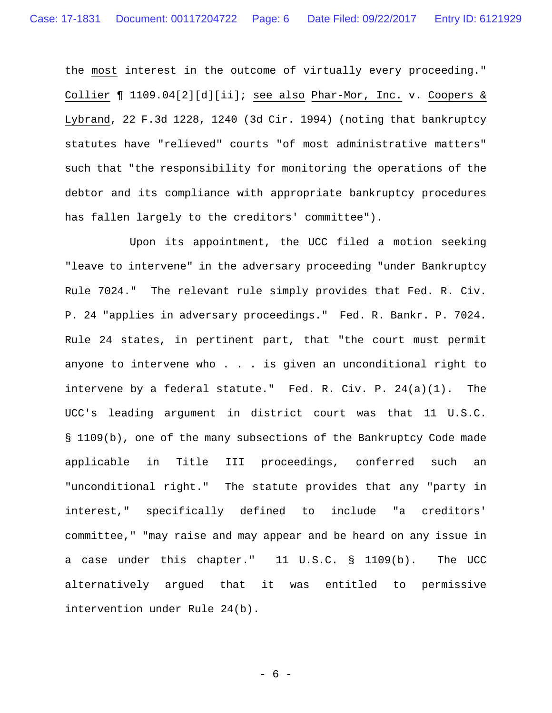the most interest in the outcome of virtually every proceeding." Collier ¶ 1109.04[2][d][ii]; see also Phar-Mor, Inc. v. Coopers & Lybrand, 22 F.3d 1228, 1240 (3d Cir. 1994) (noting that bankruptcy statutes have "relieved" courts "of most administrative matters" such that "the responsibility for monitoring the operations of the debtor and its compliance with appropriate bankruptcy procedures has fallen largely to the creditors' committee").

Upon its appointment, the UCC filed a motion seeking "leave to intervene" in the adversary proceeding "under Bankruptcy Rule 7024." The relevant rule simply provides that Fed. R. Civ. P. 24 "applies in adversary proceedings." Fed. R. Bankr. P. 7024. Rule 24 states, in pertinent part, that "the court must permit anyone to intervene who . . . is given an unconditional right to intervene by a federal statute." Fed. R. Civ. P. 24(a)(1). The UCC's leading argument in district court was that 11 U.S.C. § 1109(b), one of the many subsections of the Bankruptcy Code made applicable in Title III proceedings, conferred such an "unconditional right." The statute provides that any "party in interest," specifically defined to include "a creditors' committee," "may raise and may appear and be heard on any issue in a case under this chapter." 11 U.S.C. § 1109(b). The UCC alternatively argued that it was entitled to permissive intervention under Rule 24(b).

- 6 -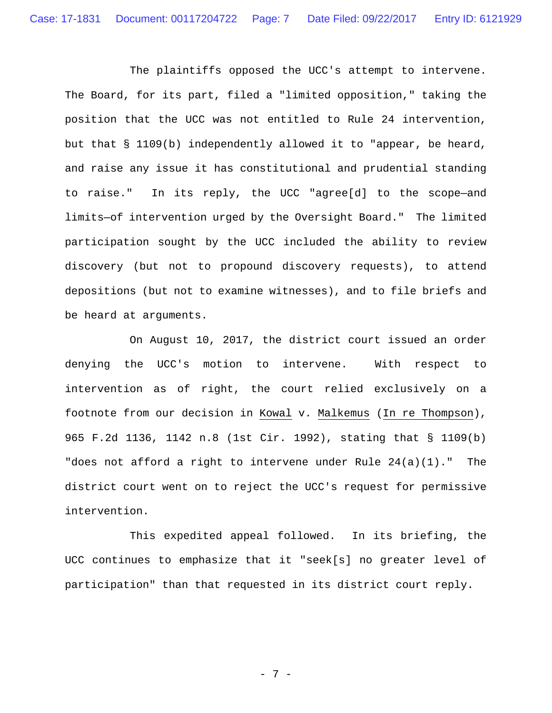The plaintiffs opposed the UCC's attempt to intervene. The Board, for its part, filed a "limited opposition," taking the position that the UCC was not entitled to Rule 24 intervention, but that § 1109(b) independently allowed it to "appear, be heard, and raise any issue it has constitutional and prudential standing to raise." In its reply, the UCC "agree[d] to the scope—and limits—of intervention urged by the Oversight Board." The limited participation sought by the UCC included the ability to review discovery (but not to propound discovery requests), to attend depositions (but not to examine witnesses), and to file briefs and be heard at arguments.

On August 10, 2017, the district court issued an order denying the UCC's motion to intervene. With respect to intervention as of right, the court relied exclusively on a footnote from our decision in Kowal v. Malkemus (In re Thompson), 965 F.2d 1136, 1142 n.8 (1st Cir. 1992), stating that § 1109(b) "does not afford a right to intervene under Rule 24(a)(1)." The district court went on to reject the UCC's request for permissive intervention.

This expedited appeal followed. In its briefing, the UCC continues to emphasize that it "seek[s] no greater level of participation" than that requested in its district court reply.

- 7 -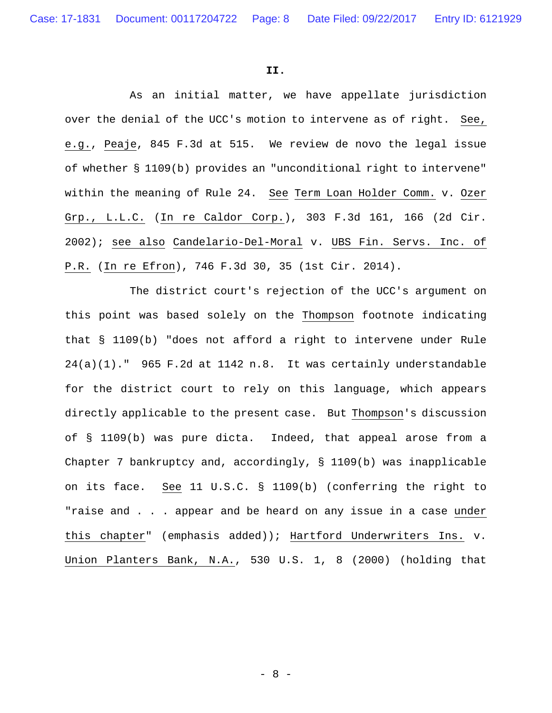#### **II.**

 As an initial matter, we have appellate jurisdiction over the denial of the UCC's motion to intervene as of right. See, e.g., Peaje, 845 F.3d at 515. We review de novo the legal issue of whether § 1109(b) provides an "unconditional right to intervene" within the meaning of Rule 24. See Term Loan Holder Comm. v. Ozer Grp., L.L.C. (In re Caldor Corp.), 303 F.3d 161, 166 (2d Cir. 2002); see also Candelario-Del-Moral v. UBS Fin. Servs. Inc. of P.R. (In re Efron), 746 F.3d 30, 35 (1st Cir. 2014).

 The district court's rejection of the UCC's argument on this point was based solely on the Thompson footnote indicating that § 1109(b) "does not afford a right to intervene under Rule 24(a)(1)." 965 F.2d at 1142 n.8. It was certainly understandable for the district court to rely on this language, which appears directly applicable to the present case. But Thompson's discussion of § 1109(b) was pure dicta. Indeed, that appeal arose from a Chapter 7 bankruptcy and, accordingly, § 1109(b) was inapplicable on its face. See 11 U.S.C. § 1109(b) (conferring the right to "raise and . . . appear and be heard on any issue in a case under this chapter" (emphasis added)); Hartford Underwriters Ins. v. Union Planters Bank, N.A., 530 U.S. 1, 8 (2000) (holding that

- 8 -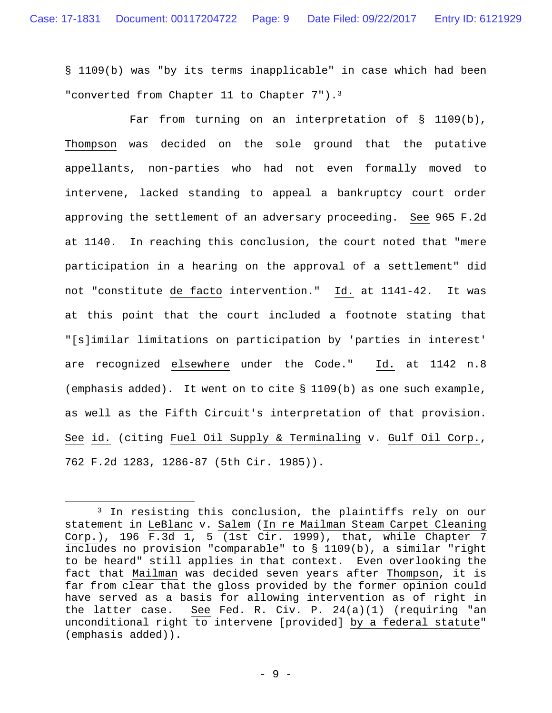§ 1109(b) was "by its terms inapplicable" in case which had been "converted from Chapter 11 to Chapter 7").<sup>3</sup>

Far from turning on an interpretation of  $\S$  1109(b), Thompson was decided on the sole ground that the putative appellants, non-parties who had not even formally moved to intervene, lacked standing to appeal a bankruptcy court order approving the settlement of an adversary proceeding. See 965 F.2d at 1140. In reaching this conclusion, the court noted that "mere participation in a hearing on the approval of a settlement" did not "constitute de facto intervention." Id. at 1141-42. It was at this point that the court included a footnote stating that "[s]imilar limitations on participation by 'parties in interest' are recognized elsewhere under the Code." Id. at 1142 n.8 (emphasis added). It went on to cite § 1109(b) as one such example, as well as the Fifth Circuit's interpretation of that provision. See id. (citing Fuel Oil Supply & Terminaling v. Gulf Oil Corp., 762 F.2d 1283, 1286-87 (5th Cir. 1985)).

<sup>&</sup>lt;sup>3</sup> In resisting this conclusion, the plaintiffs rely on our statement in LeBlanc v. Salem (In re Mailman Steam Carpet Cleaning  $Corp.$ ), 196 F.3 $\overline{d}$  1, 5 (1st Cir. 1999), that, while Chapter 7 includes no provision "comparable" to § 1109(b), a similar "right to be heard" still applies in that context. Even overlooking the fact that Mailman was decided seven years after Thompson, it is far from clear that the gloss provided by the former opinion could have served as a basis for allowing intervention as of right in the latter case. See Fed. R. Civ. P. 24(a)(1) (requiring "an unconditional right to intervene [provided] by a federal statute" (emphasis added)).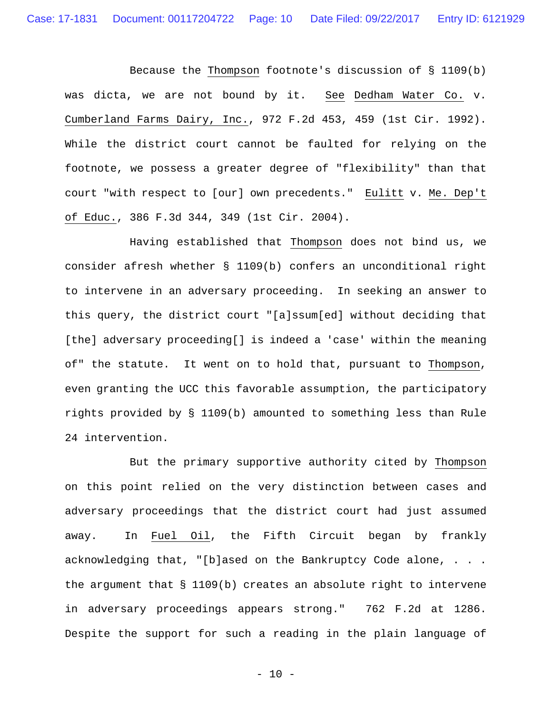Because the Thompson footnote's discussion of § 1109(b) was dicta, we are not bound by it. See Dedham Water Co. v. Cumberland Farms Dairy, Inc., 972 F.2d 453, 459 (1st Cir. 1992). While the district court cannot be faulted for relying on the footnote, we possess a greater degree of "flexibility" than that court "with respect to [our] own precedents." Eulitt v. Me. Dep't of Educ., 386 F.3d 344, 349 (1st Cir. 2004).

Having established that Thompson does not bind us, we consider afresh whether § 1109(b) confers an unconditional right to intervene in an adversary proceeding. In seeking an answer to this query, the district court "[a]ssum[ed] without deciding that [the] adversary proceeding[] is indeed a 'case' within the meaning of" the statute. It went on to hold that, pursuant to Thompson, even granting the UCC this favorable assumption, the participatory rights provided by § 1109(b) amounted to something less than Rule 24 intervention.

But the primary supportive authority cited by Thompson on this point relied on the very distinction between cases and adversary proceedings that the district court had just assumed away. In Fuel Oil, the Fifth Circuit began by frankly acknowledging that, "[b]ased on the Bankruptcy Code alone, . . . the argument that § 1109(b) creates an absolute right to intervene in adversary proceedings appears strong." 762 F.2d at 1286. Despite the support for such a reading in the plain language of

 $- 10 -$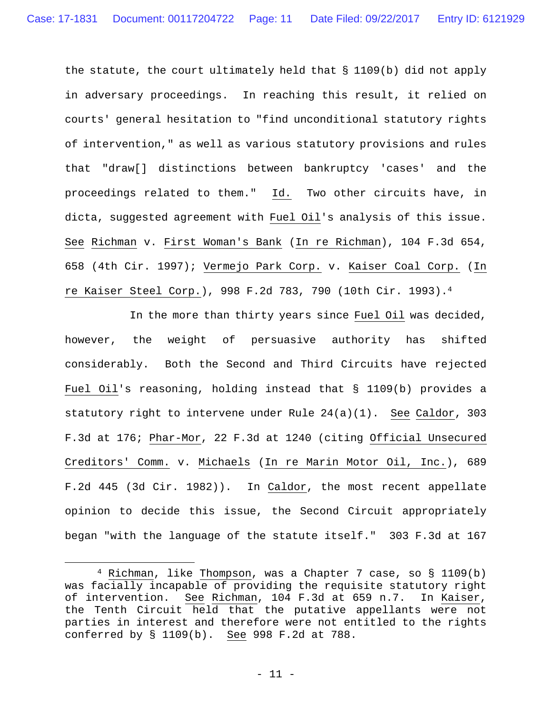the statute, the court ultimately held that § 1109(b) did not apply in adversary proceedings. In reaching this result, it relied on courts' general hesitation to "find unconditional statutory rights of intervention," as well as various statutory provisions and rules that "draw[] distinctions between bankruptcy 'cases' and the proceedings related to them." Id. Two other circuits have, in dicta, suggested agreement with Fuel Oil's analysis of this issue. See Richman v. First Woman's Bank (In re Richman), 104 F.3d 654, 658 (4th Cir. 1997); Vermejo Park Corp. v. Kaiser Coal Corp. (In re Kaiser Steel Corp.), 998 F.2d 783, 790 (10th Cir. 1993).4

 In the more than thirty years since Fuel Oil was decided, however, the weight of persuasive authority has shifted considerably. Both the Second and Third Circuits have rejected Fuel Oil's reasoning, holding instead that § 1109(b) provides a statutory right to intervene under Rule 24(a)(1). See Caldor, 303 F.3d at 176; Phar-Mor, 22 F.3d at 1240 (citing Official Unsecured Creditors' Comm. v. Michaels (In re Marin Motor Oil, Inc.), 689 F.2d 445 (3d Cir. 1982)). In Caldor, the most recent appellate opinion to decide this issue, the Second Circuit appropriately began "with the language of the statute itself." 303 F.3d at 167

<sup>4</sup> Richman, like Thompson, was a Chapter 7 case, so § 1109(b) was facially incapable of providing the requisite statutory right<br>of intervention. See Richman, 104 F.3d at 659 n.7. In Kaiser, See Richman, 104 F.3d at 659 n.7. In Kaiser, the Tenth Circuit held that the putative appellants were not parties in interest and therefore were not entitled to the rights conferred by § 1109(b). See 998 F.2d at 788.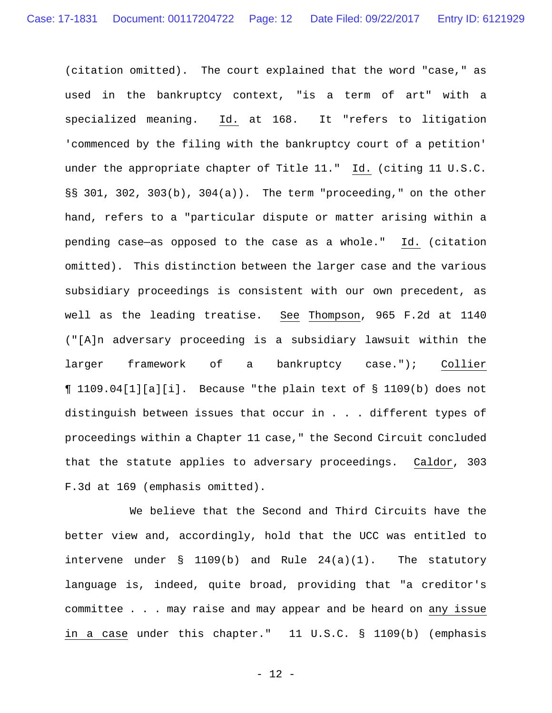(citation omitted). The court explained that the word "case," as used in the bankruptcy context, "is a term of art" with a specialized meaning. Id. at 168. It "refers to litigation 'commenced by the filing with the bankruptcy court of a petition' under the appropriate chapter of Title 11." Id. (citing 11 U.S.C. §§ 301, 302, 303(b), 304(a)). The term "proceeding," on the other hand, refers to a "particular dispute or matter arising within a pending case—as opposed to the case as a whole." Id. (citation omitted). This distinction between the larger case and the various subsidiary proceedings is consistent with our own precedent, as well as the leading treatise. See Thompson, 965 F.2d at 1140 ("[A]n adversary proceeding is a subsidiary lawsuit within the larger framework of a bankruptcy case."); Collier ¶ 1109.04[1][a][i]. Because "the plain text of § 1109(b) does not distinguish between issues that occur in . . . different types of proceedings within a Chapter 11 case," the Second Circuit concluded that the statute applies to adversary proceedings. Caldor, 303 F.3d at 169 (emphasis omitted).

 We believe that the Second and Third Circuits have the better view and, accordingly, hold that the UCC was entitled to intervene under § 1109(b) and Rule 24(a)(1). The statutory language is, indeed, quite broad, providing that "a creditor's committee . . . may raise and may appear and be heard on any issue in a case under this chapter." 11 U.S.C. § 1109(b) (emphasis

- 12 -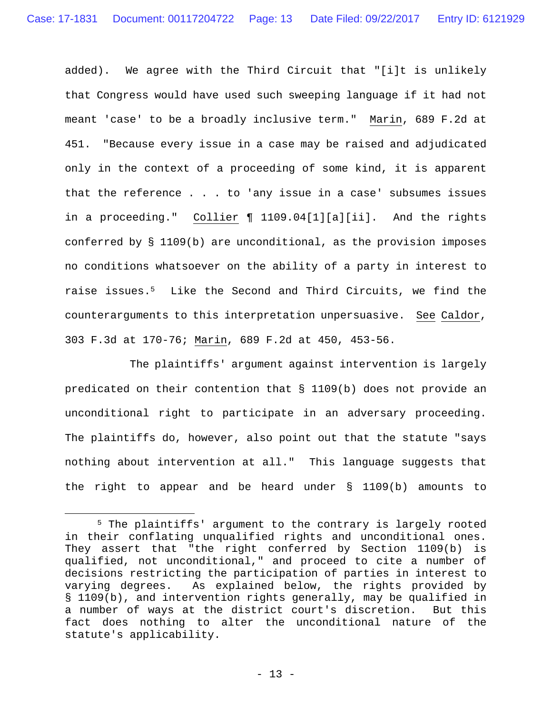added). We agree with the Third Circuit that "[i]t is unlikely that Congress would have used such sweeping language if it had not meant 'case' to be a broadly inclusive term." Marin, 689 F.2d at 451. "Because every issue in a case may be raised and adjudicated only in the context of a proceeding of some kind, it is apparent that the reference . . . to 'any issue in a case' subsumes issues in a proceeding." Collier ¶ 1109.04[1][a][ii]. And the rights conferred by § 1109(b) are unconditional, as the provision imposes no conditions whatsoever on the ability of a party in interest to raise issues.5 Like the Second and Third Circuits, we find the counterarguments to this interpretation unpersuasive. See Caldor, 303 F.3d at 170-76; Marin, 689 F.2d at 450, 453-56.

The plaintiffs' argument against intervention is largely predicated on their contention that § 1109(b) does not provide an unconditional right to participate in an adversary proceeding. The plaintiffs do, however, also point out that the statute "says nothing about intervention at all." This language suggests that the right to appear and be heard under § 1109(b) amounts to

<sup>5</sup> The plaintiffs' argument to the contrary is largely rooted in their conflating unqualified rights and unconditional ones. They assert that "the right conferred by Section 1109(b) is qualified, not unconditional," and proceed to cite a number of decisions restricting the participation of parties in interest to varying degrees. As explained below, the rights provided by § 1109(b), and intervention rights generally, may be qualified in a number of ways at the district court's discretion. But this fact does nothing to alter the unconditional nature of the statute's applicability.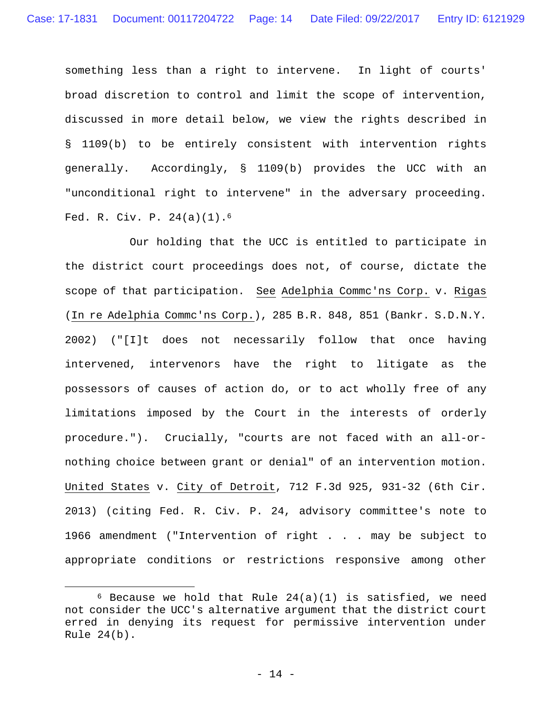something less than a right to intervene. In light of courts' broad discretion to control and limit the scope of intervention, discussed in more detail below, we view the rights described in § 1109(b) to be entirely consistent with intervention rights generally. Accordingly, § 1109(b) provides the UCC with an "unconditional right to intervene" in the adversary proceeding. Fed. R. Civ. P. 24(a)(1).6

 Our holding that the UCC is entitled to participate in the district court proceedings does not, of course, dictate the scope of that participation. See Adelphia Commc'ns Corp. v. Rigas (In re Adelphia Commc'ns Corp.), 285 B.R. 848, 851 (Bankr. S.D.N.Y. 2002) ("[I]t does not necessarily follow that once having intervened, intervenors have the right to litigate as the possessors of causes of action do, or to act wholly free of any limitations imposed by the Court in the interests of orderly procedure."). Crucially, "courts are not faced with an all-ornothing choice between grant or denial" of an intervention motion. United States v. City of Detroit, 712 F.3d 925, 931-32 (6th Cir. 2013) (citing Fed. R. Civ. P. 24, advisory committee's note to 1966 amendment ("Intervention of right . . . may be subject to appropriate conditions or restrictions responsive among other

 $6$  Because we hold that Rule 24(a)(1) is satisfied, we need not consider the UCC's alternative argument that the district court erred in denying its request for permissive intervention under Rule 24(b).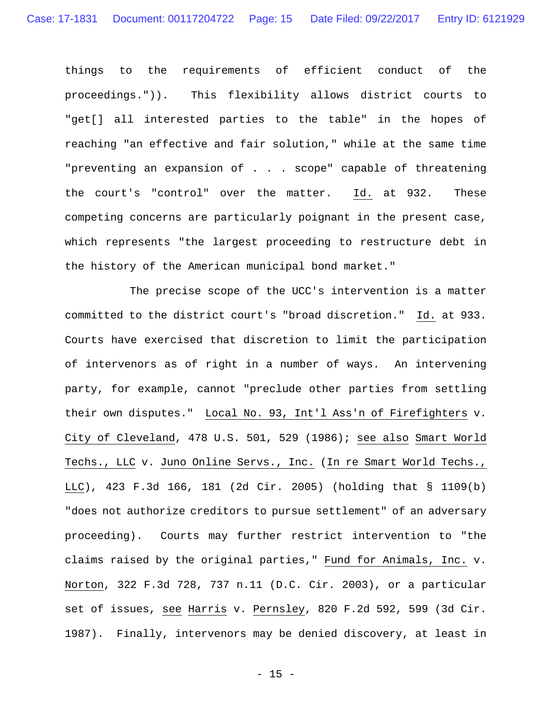things to the requirements of efficient conduct of the proceedings.")). This flexibility allows district courts to "get[] all interested parties to the table" in the hopes of reaching "an effective and fair solution," while at the same time "preventing an expansion of . . . scope" capable of threatening the court's "control" over the matter. Id. at 932. These competing concerns are particularly poignant in the present case, which represents "the largest proceeding to restructure debt in the history of the American municipal bond market."

 The precise scope of the UCC's intervention is a matter committed to the district court's "broad discretion." Id. at 933. Courts have exercised that discretion to limit the participation of intervenors as of right in a number of ways. An intervening party, for example, cannot "preclude other parties from settling their own disputes." Local No. 93, Int'l Ass'n of Firefighters v. City of Cleveland, 478 U.S. 501, 529 (1986); see also Smart World Techs., LLC v. Juno Online Servs., Inc. (In re Smart World Techs., LLC), 423 F.3d 166, 181 (2d Cir. 2005) (holding that § 1109(b) "does not authorize creditors to pursue settlement" of an adversary proceeding). Courts may further restrict intervention to "the claims raised by the original parties," Fund for Animals, Inc. v. Norton, 322 F.3d 728, 737 n.11 (D.C. Cir. 2003), or a particular set of issues, see Harris v. Pernsley, 820 F.2d 592, 599 (3d Cir. 1987). Finally, intervenors may be denied discovery, at least in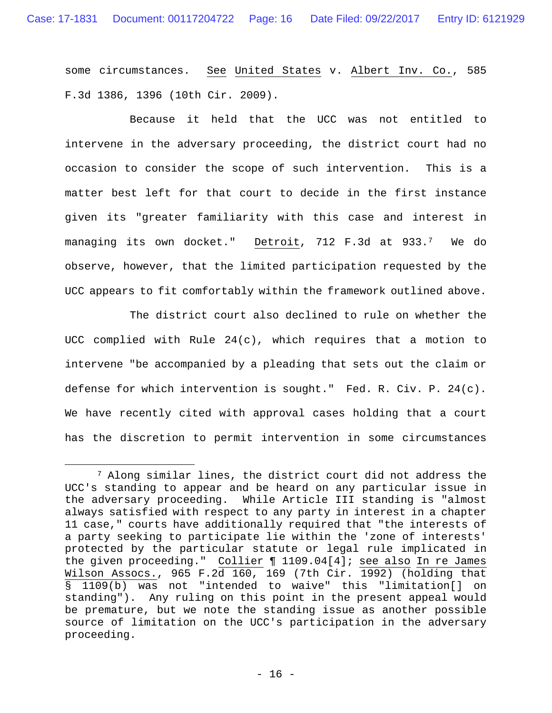some circumstances. See United States v. Albert Inv. Co., 585 F.3d 1386, 1396 (10th Cir. 2009).

 Because it held that the UCC was not entitled to intervene in the adversary proceeding, the district court had no occasion to consider the scope of such intervention. This is a matter best left for that court to decide in the first instance given its "greater familiarity with this case and interest in managing its own docket." Detroit, 712 F.3d at 933.7 We do observe, however, that the limited participation requested by the UCC appears to fit comfortably within the framework outlined above.

 The district court also declined to rule on whether the UCC complied with Rule  $24(c)$ , which requires that a motion to intervene "be accompanied by a pleading that sets out the claim or defense for which intervention is sought." Fed. R. Civ. P. 24(c). We have recently cited with approval cases holding that a court has the discretion to permit intervention in some circumstances

<sup>&</sup>lt;sup>7</sup> Along similar lines, the district court did not address the UCC's standing to appear and be heard on any particular issue in the adversary proceeding. While Article III standing is "almost always satisfied with respect to any party in interest in a chapter 11 case," courts have additionally required that "the interests of a party seeking to participate lie within the 'zone of interests' protected by the particular statute or legal rule implicated in the given proceeding." Collier ¶ 1109.04[4]; see also In re James Wilson Assocs., 965 F.2d 160, 169 (7th Cir. 1992) (holding that § 1109(b) was not "intended to waive" this "limitation[] on standing"). Any ruling on this point in the present appeal would be premature, but we note the standing issue as another possible source of limitation on the UCC's participation in the adversary proceeding.